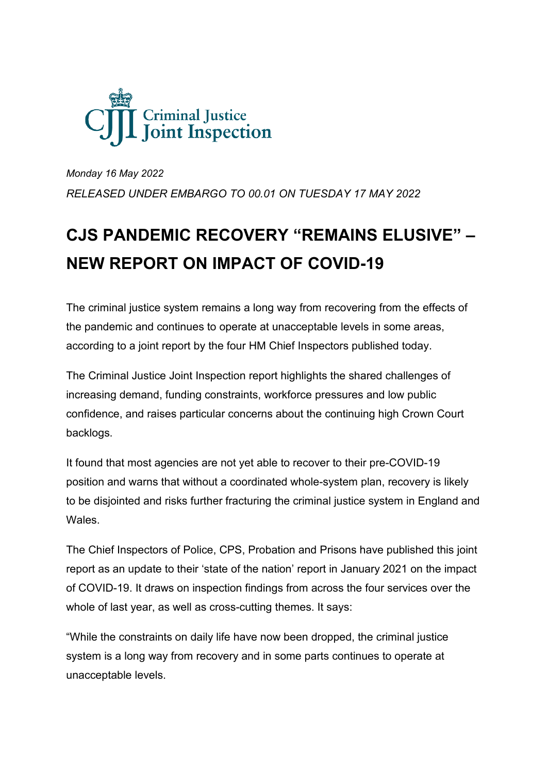

*Monday 16 May 2022 RELEASED UNDER EMBARGO TO 00.01 ON TUESDAY 17 MAY 2022*

## **CJS PANDEMIC RECOVERY "REMAINS ELUSIVE" – NEW REPORT ON IMPACT OF COVID-19**

The criminal justice system remains a long way from recovering from the effects of the pandemic and continues to operate at unacceptable levels in some areas, according to a joint report by the four HM Chief Inspectors published today.

The Criminal Justice Joint Inspection report highlights the shared challenges of increasing demand, funding constraints, workforce pressures and low public confidence, and raises particular concerns about the continuing high Crown Court backlogs.

It found that most agencies are not yet able to recover to their pre-COVID-19 position and warns that without a coordinated whole-system plan, recovery is likely to be disjointed and risks further fracturing the criminal justice system in England and **Wales** 

The Chief Inspectors of Police, CPS, Probation and Prisons have published this joint report as an update to their 'state of the nation' report in January 2021 on the impact of COVID-19. It draws on inspection findings from across the four services over the whole of last year, as well as cross-cutting themes. It says:

"While the constraints on daily life have now been dropped, the criminal justice system is a long way from recovery and in some parts continues to operate at unacceptable levels.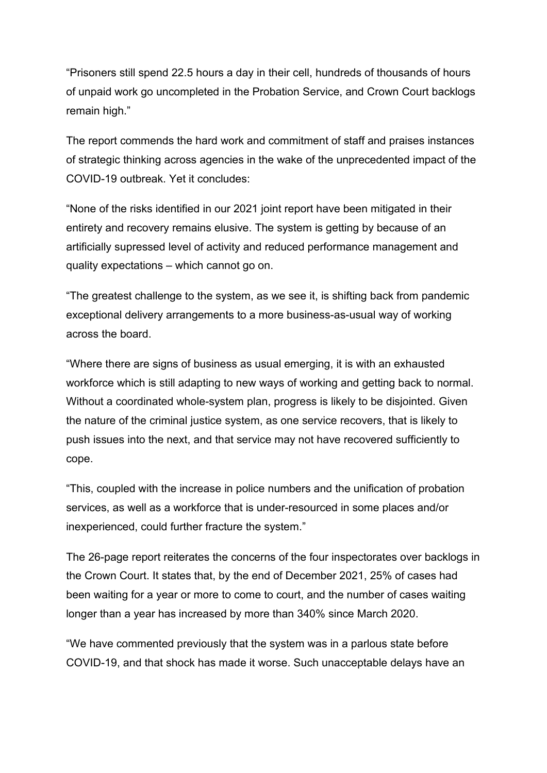"Prisoners still spend 22.5 hours a day in their cell, hundreds of thousands of hours of unpaid work go uncompleted in the Probation Service, and Crown Court backlogs remain high."

The report commends the hard work and commitment of staff and praises instances of strategic thinking across agencies in the wake of the unprecedented impact of the COVID-19 outbreak. Yet it concludes:

"None of the risks identified in our 2021 joint report have been mitigated in their entirety and recovery remains elusive. The system is getting by because of an artificially supressed level of activity and reduced performance management and quality expectations – which cannot go on.

"The greatest challenge to the system, as we see it, is shifting back from pandemic exceptional delivery arrangements to a more business-as-usual way of working across the board.

"Where there are signs of business as usual emerging, it is with an exhausted workforce which is still adapting to new ways of working and getting back to normal. Without a coordinated whole-system plan, progress is likely to be disjointed. Given the nature of the criminal justice system, as one service recovers, that is likely to push issues into the next, and that service may not have recovered sufficiently to cope.

"This, coupled with the increase in police numbers and the unification of probation services, as well as a workforce that is under-resourced in some places and/or inexperienced, could further fracture the system."

The 26-page report reiterates the concerns of the four inspectorates over backlogs in the Crown Court. It states that, by the end of December 2021, 25% of cases had been waiting for a year or more to come to court, and the number of cases waiting longer than a year has increased by more than 340% since March 2020.

"We have commented previously that the system was in a parlous state before COVID-19, and that shock has made it worse. Such unacceptable delays have an